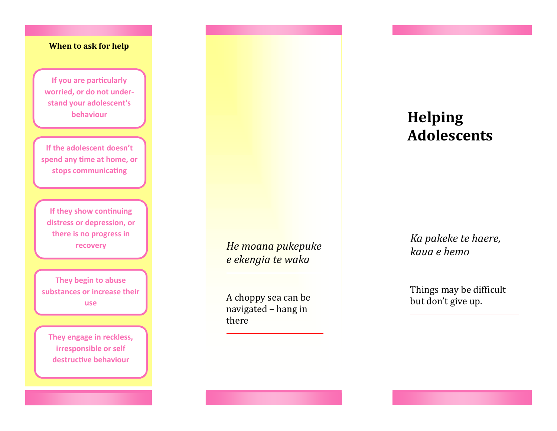## **When to ask for help**

**If you are particularly worried, or do not understand your adolescent's behaviour** 

**If the adolescent doesn't spend any time at home, or stops communicating**

**If they show continuing distress or depression, or there is no progress in recovery**

**They begin to abuse substances or increase their use**

**They engage in reckless, irresponsible or self destructive behaviour**

*He moana pukepuke e ekengia te waka*

A choppy sea can be navigated – hang in there

## **Helping Adolescents**

*Ka pakeke te haere, kaua e hemo*

Things may be difficult but don't give up.